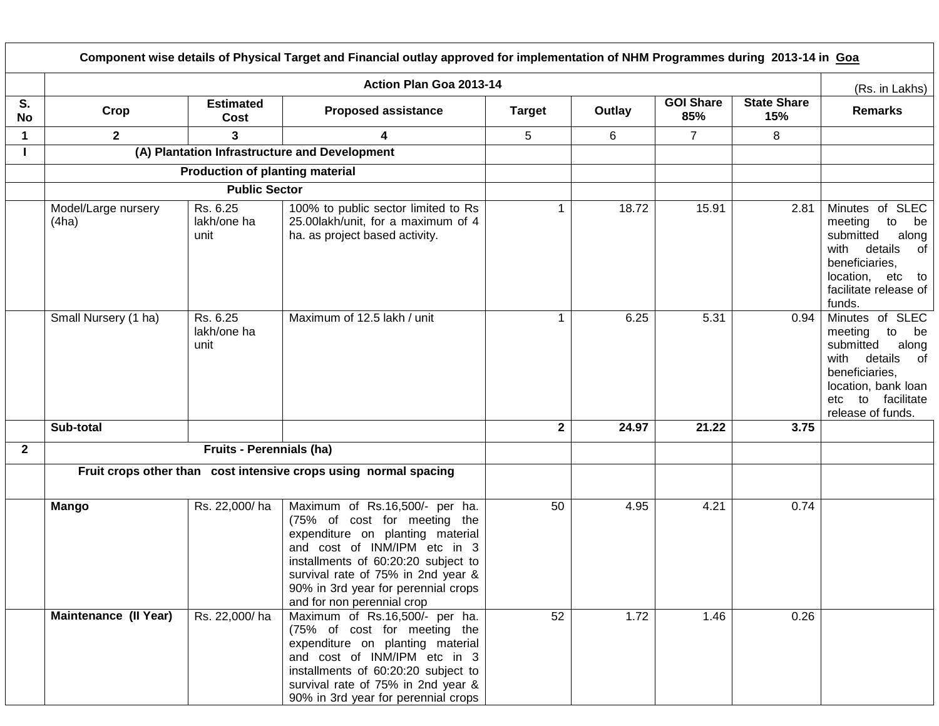|              |                              |                                        | Component wise details of Physical Target and Financial outlay approved for implementation of NHM Programmes during 2013-14 in Goa                                                                                                                                                   |               |        |                         |                           |                                                                                                                                                                    |
|--------------|------------------------------|----------------------------------------|--------------------------------------------------------------------------------------------------------------------------------------------------------------------------------------------------------------------------------------------------------------------------------------|---------------|--------|-------------------------|---------------------------|--------------------------------------------------------------------------------------------------------------------------------------------------------------------|
|              |                              |                                        | Action Plan Goa 2013-14                                                                                                                                                                                                                                                              |               |        |                         |                           | (Rs. in Lakhs)                                                                                                                                                     |
| S.<br>No     | Crop                         | <b>Estimated</b><br>Cost               | <b>Proposed assistance</b>                                                                                                                                                                                                                                                           | <b>Target</b> | Outlay | <b>GOI Share</b><br>85% | <b>State Share</b><br>15% | <b>Remarks</b>                                                                                                                                                     |
| $\mathbf 1$  | $2^{\circ}$                  | 3                                      | 4                                                                                                                                                                                                                                                                                    | 5             | 6      | $\overline{7}$          | 8                         |                                                                                                                                                                    |
|              |                              |                                        | (A) Plantation Infrastructure and Development                                                                                                                                                                                                                                        |               |        |                         |                           |                                                                                                                                                                    |
|              |                              | <b>Production of planting material</b> |                                                                                                                                                                                                                                                                                      |               |        |                         |                           |                                                                                                                                                                    |
|              |                              | <b>Public Sector</b>                   |                                                                                                                                                                                                                                                                                      |               |        |                         |                           |                                                                                                                                                                    |
|              | Model/Large nursery<br>(4ha) | Rs. 6.25<br>lakh/one ha<br>unit        | 100% to public sector limited to Rs<br>25.00lakh/unit, for a maximum of 4<br>ha. as project based activity.                                                                                                                                                                          | 1             | 18.72  | 15.91                   | 2.81                      | Minutes of SLEC<br>meeting<br>to<br>be<br>submitted<br>along<br>with details<br>of<br>beneficiaries,<br>location, etc to<br>facilitate release of<br>funds.        |
|              | Small Nursery (1 ha)         | Rs. 6.25<br>lakh/one ha<br>unit        | Maximum of 12.5 lakh / unit                                                                                                                                                                                                                                                          | $\mathbf{1}$  | 6.25   | 5.31                    | 0.94                      | Minutes of SLEC<br>meeting to<br>be<br>submitted<br>along<br>with details of<br>beneficiaries,<br>location, bank loan<br>to facilitate<br>etc<br>release of funds. |
|              | Sub-total                    |                                        |                                                                                                                                                                                                                                                                                      | $\mathbf{2}$  | 24.97  | 21.22                   | 3.75                      |                                                                                                                                                                    |
| $\mathbf{2}$ |                              | Fruits - Perennials (ha)               |                                                                                                                                                                                                                                                                                      |               |        |                         |                           |                                                                                                                                                                    |
|              |                              |                                        | Fruit crops other than cost intensive crops using normal spacing                                                                                                                                                                                                                     |               |        |                         |                           |                                                                                                                                                                    |
|              | <b>Mango</b>                 | Rs. 22,000/ha                          | Maximum of Rs.16,500/- per ha.<br>(75% of cost for meeting the<br>expenditure on planting material<br>and cost of INM/IPM etc in 3<br>installments of 60:20:20 subject to<br>survival rate of 75% in 2nd year &<br>90% in 3rd year for perennial crops<br>and for non perennial crop | 50            | 4.95   | 4.21                    | 0.74                      |                                                                                                                                                                    |
|              | <b>Maintenance (II Year)</b> | Rs. 22,000/ha                          | Maximum of Rs.16,500/- per ha.<br>(75% of cost for meeting the<br>expenditure on planting material<br>and cost of INM/IPM etc in 3<br>installments of 60:20:20 subject to<br>survival rate of 75% in 2nd year &<br>90% in 3rd year for perennial crops                               | 52            | 1.72   | 1.46                    | 0.26                      |                                                                                                                                                                    |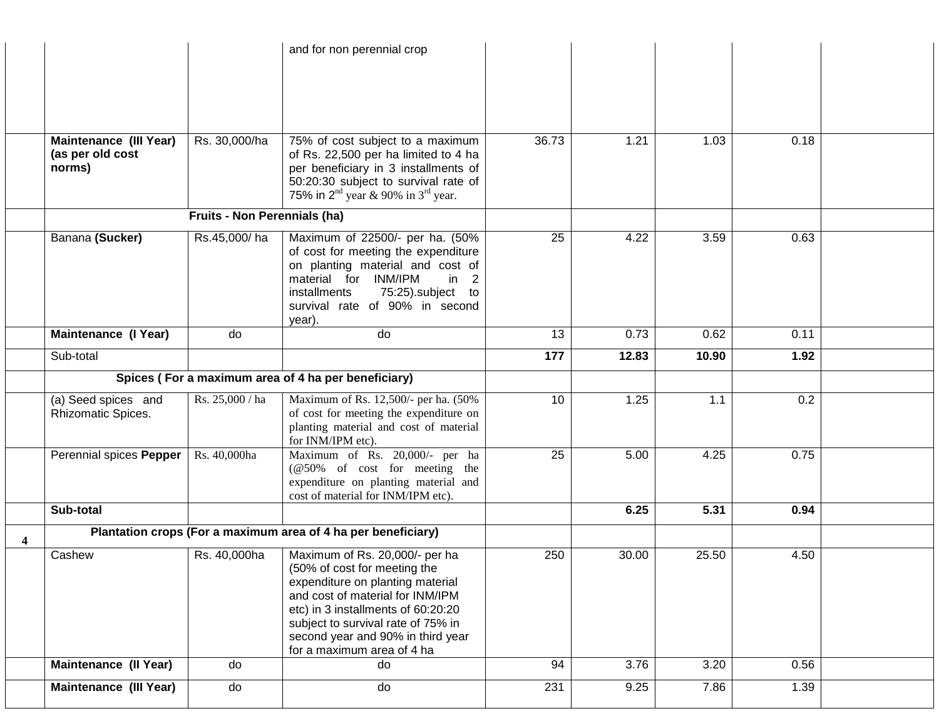|   |                                           |                              | and for non perennial crop                                                                                                                                                                                                                                                            |       |       |       |      |  |
|---|-------------------------------------------|------------------------------|---------------------------------------------------------------------------------------------------------------------------------------------------------------------------------------------------------------------------------------------------------------------------------------|-------|-------|-------|------|--|
|   |                                           |                              |                                                                                                                                                                                                                                                                                       |       |       |       |      |  |
|   |                                           |                              |                                                                                                                                                                                                                                                                                       |       |       |       |      |  |
|   | Maintenance (III Year)                    | Rs. 30,000/ha                | 75% of cost subject to a maximum                                                                                                                                                                                                                                                      | 36.73 | 1.21  | 1.03  | 0.18 |  |
|   | (as per old cost<br>norms)                |                              | of Rs. 22,500 per ha limited to 4 ha<br>per beneficiary in 3 installments of<br>50:20:30 subject to survival rate of<br>75% in $2nd$ year & 90% in $3rd$ year.                                                                                                                        |       |       |       |      |  |
|   |                                           | Fruits - Non Perennials (ha) |                                                                                                                                                                                                                                                                                       |       |       |       |      |  |
|   | Banana (Sucker)                           | Rs.45,000/ha                 | Maximum of 22500/- per ha. (50%<br>of cost for meeting the expenditure<br>on planting material and cost of<br>material for INM/IPM<br>in 2<br>75:25).subject to<br>installments<br>survival rate of 90% in second<br>year).                                                           | 25    | 4.22  | 3.59  | 0.63 |  |
|   | Maintenance (I Year)                      | do                           | do                                                                                                                                                                                                                                                                                    | 13    | 0.73  | 0.62  | 0.11 |  |
|   | Sub-total                                 |                              |                                                                                                                                                                                                                                                                                       | 177   | 12.83 | 10.90 | 1.92 |  |
|   |                                           |                              | Spices (For a maximum area of 4 ha per beneficiary)                                                                                                                                                                                                                                   |       |       |       |      |  |
|   | (a) Seed spices and<br>Rhizomatic Spices. | Rs. 25,000 / ha              | Maximum of Rs. 12,500/- per ha. (50%<br>of cost for meeting the expenditure on<br>planting material and cost of material<br>for INM/IPM etc).                                                                                                                                         | 10    | 1.25  | 1.1   | 0.2  |  |
|   | Perennial spices Pepper                   | Rs. 40,000ha                 | Maximum of Rs. 20,000/- per ha<br>(@50% of cost for meeting the<br>expenditure on planting material and<br>cost of material for INM/IPM etc).                                                                                                                                         | 25    | 5.00  | 4.25  | 0.75 |  |
|   | Sub-total                                 |                              |                                                                                                                                                                                                                                                                                       |       | 6.25  | 5.31  | 0.94 |  |
| 4 |                                           |                              | Plantation crops (For a maximum area of 4 ha per beneficiary)                                                                                                                                                                                                                         |       |       |       |      |  |
|   | Cashew                                    | Rs. 40,000ha                 | Maximum of Rs. 20,000/- per ha<br>(50% of cost for meeting the<br>expenditure on planting material<br>and cost of material for INM/IPM<br>etc) in 3 installments of 60:20:20<br>subject to survival rate of 75% in<br>second year and 90% in third year<br>for a maximum area of 4 ha | 250   | 30.00 | 25.50 | 4.50 |  |
|   | <b>Maintenance (Il Year)</b>              | do                           | do                                                                                                                                                                                                                                                                                    | 94    | 3.76  | 3.20  | 0.56 |  |
|   | <b>Maintenance (III Year)</b>             | do                           | do                                                                                                                                                                                                                                                                                    | 231   | 9.25  | 7.86  | 1.39 |  |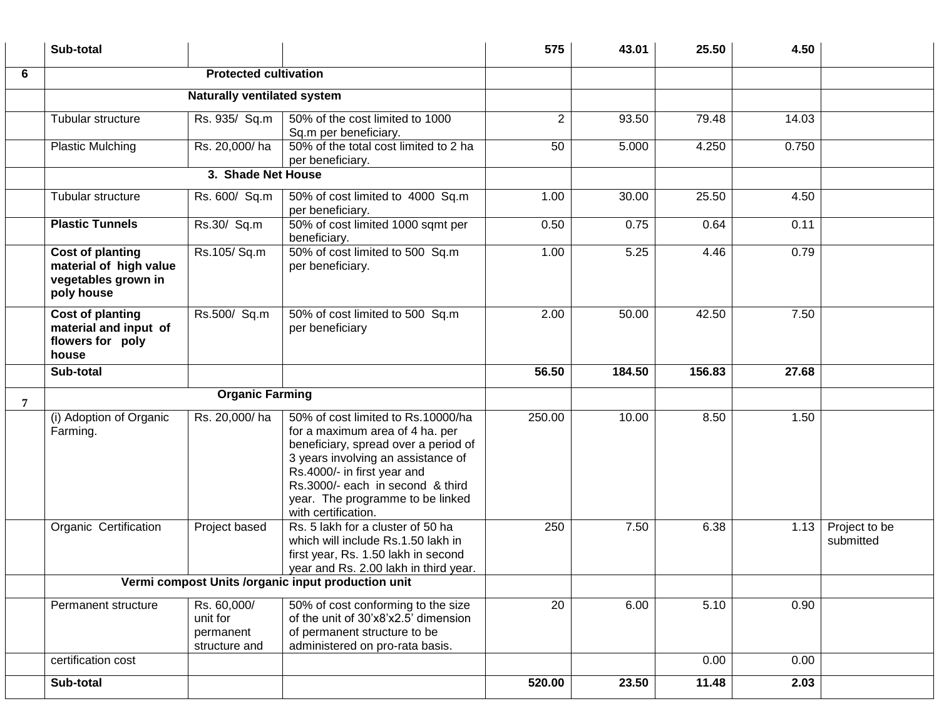|   | Sub-total                                                                              |                                                       |                                                                                                                                                                                                                                                                                   | 575          | 43.01  | 25.50  | 4.50  |                            |
|---|----------------------------------------------------------------------------------------|-------------------------------------------------------|-----------------------------------------------------------------------------------------------------------------------------------------------------------------------------------------------------------------------------------------------------------------------------------|--------------|--------|--------|-------|----------------------------|
| 6 |                                                                                        | <b>Protected cultivation</b>                          |                                                                                                                                                                                                                                                                                   |              |        |        |       |                            |
|   |                                                                                        | <b>Naturally ventilated system</b>                    |                                                                                                                                                                                                                                                                                   |              |        |        |       |                            |
|   | Tubular structure                                                                      | Rs. 935/ Sq.m                                         | 50% of the cost limited to 1000<br>Sq.m per beneficiary.                                                                                                                                                                                                                          | $\mathbf{2}$ | 93.50  | 79.48  | 14.03 |                            |
|   | <b>Plastic Mulching</b>                                                                | Rs. 20,000/ha                                         | 50% of the total cost limited to 2 ha<br>per beneficiary.                                                                                                                                                                                                                         | 50           | 5.000  | 4.250  | 0.750 |                            |
|   |                                                                                        | 3. Shade Net House                                    |                                                                                                                                                                                                                                                                                   |              |        |        |       |                            |
|   | Tubular structure                                                                      | Rs. 600/ Sq.m                                         | 50% of cost limited to 4000 Sq.m<br>per beneficiary.                                                                                                                                                                                                                              | 1.00         | 30.00  | 25.50  | 4.50  |                            |
|   | <b>Plastic Tunnels</b>                                                                 | Rs.30/ Sq.m                                           | 50% of cost limited 1000 sqmt per<br>beneficiary.                                                                                                                                                                                                                                 | 0.50         | 0.75   | 0.64   | 0.11  |                            |
|   | <b>Cost of planting</b><br>material of high value<br>vegetables grown in<br>poly house | Rs.105/Sq.m                                           | 50% of cost limited to 500 Sq.m<br>per beneficiary.                                                                                                                                                                                                                               | 1.00         | 5.25   | 4.46   | 0.79  |                            |
|   | Cost of planting<br>material and input of<br>flowers for poly<br>house                 | Rs.500/ Sq.m                                          | 50% of cost limited to 500 Sq.m<br>per beneficiary                                                                                                                                                                                                                                | 2.00         | 50.00  | 42.50  | 7.50  |                            |
|   | Sub-total                                                                              |                                                       |                                                                                                                                                                                                                                                                                   | 56.50        | 184.50 | 156.83 | 27.68 |                            |
| 7 |                                                                                        | <b>Organic Farming</b>                                |                                                                                                                                                                                                                                                                                   |              |        |        |       |                            |
|   | (i) Adoption of Organic<br>Farming.                                                    | Rs. 20,000/ha                                         | 50% of cost limited to Rs.10000/ha<br>for a maximum area of 4 ha. per<br>beneficiary, spread over a period of<br>3 years involving an assistance of<br>Rs.4000/- in first year and<br>Rs.3000/- each in second & third<br>year. The programme to be linked<br>with certification. | 250.00       | 10.00  | 8.50   | 1.50  |                            |
|   | Organic Certification                                                                  | Project based                                         | Rs. 5 lakh for a cluster of 50 ha<br>which will include Rs.1.50 lakh in<br>first year, Rs. 1.50 lakh in second<br>year and Rs. 2.00 lakh in third year.                                                                                                                           | 250          | 7.50   | 6.38   | 1.13  | Project to be<br>submitted |
|   |                                                                                        |                                                       | Vermi compost Units /organic input production unit                                                                                                                                                                                                                                |              |        |        |       |                            |
|   | Permanent structure                                                                    | Rs. 60,000/<br>unit for<br>permanent<br>structure and | 50% of cost conforming to the size<br>of the unit of 30'x8'x2.5' dimension<br>of permanent structure to be<br>administered on pro-rata basis.                                                                                                                                     | 20           | 6.00   | 5.10   | 0.90  |                            |
|   | certification cost                                                                     |                                                       |                                                                                                                                                                                                                                                                                   |              |        | 0.00   | 0.00  |                            |
|   | Sub-total                                                                              |                                                       |                                                                                                                                                                                                                                                                                   | 520.00       | 23.50  | 11.48  | 2.03  |                            |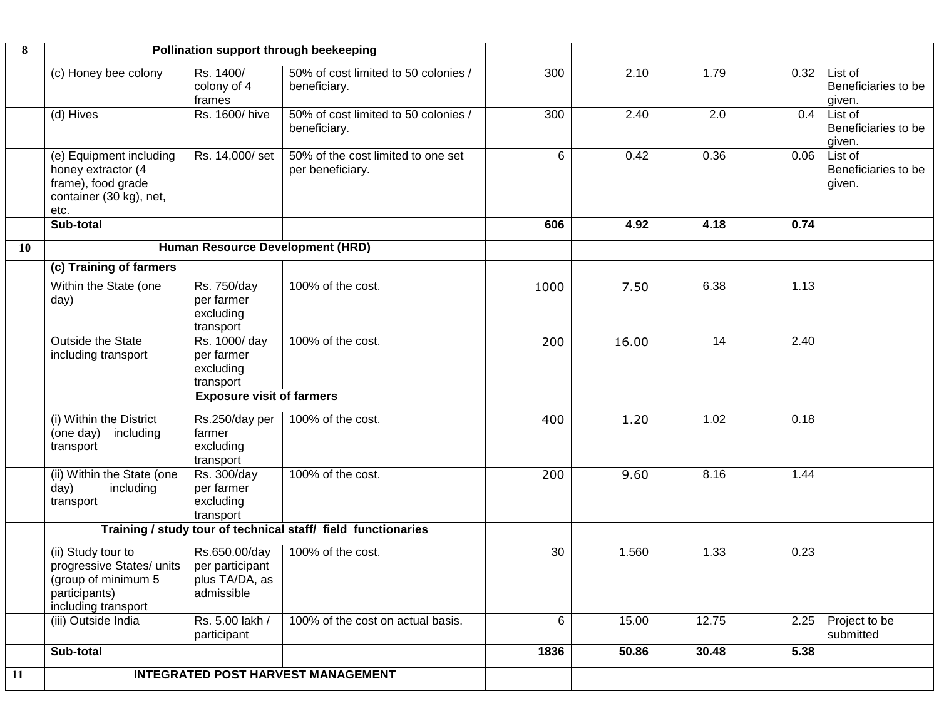| 8  | Pollination support through beekeeping                                                                         |                                                                  |                                                               |      |       |       |      |                                          |
|----|----------------------------------------------------------------------------------------------------------------|------------------------------------------------------------------|---------------------------------------------------------------|------|-------|-------|------|------------------------------------------|
|    | (c) Honey bee colony                                                                                           | Rs. 1400/<br>colony of 4<br>frames                               | 50% of cost limited to 50 colonies /<br>beneficiary.          | 300  | 2.10  | 1.79  | 0.32 | List of<br>Beneficiaries to be<br>given. |
|    | (d) Hives                                                                                                      | Rs. 1600/hive                                                    | 50% of cost limited to 50 colonies /<br>beneficiary.          | 300  | 2.40  | 2.0   | 0.4  | List of<br>Beneficiaries to be<br>given. |
|    | (e) Equipment including<br>honey extractor (4<br>frame), food grade<br>container (30 kg), net,<br>etc.         | Rs. 14,000/set                                                   | 50% of the cost limited to one set<br>per beneficiary.        | 6    | 0.42  | 0.36  | 0.06 | List of<br>Beneficiaries to be<br>given. |
|    | Sub-total                                                                                                      |                                                                  |                                                               | 606  | 4.92  | 4.18  | 0.74 |                                          |
| 10 |                                                                                                                | Human Resource Development (HRD)                                 |                                                               |      |       |       |      |                                          |
|    | (c) Training of farmers                                                                                        |                                                                  |                                                               |      |       |       |      |                                          |
|    | Within the State (one<br>day)                                                                                  | Rs. 750/day<br>per farmer<br>excluding<br>transport              | 100% of the cost.                                             | 1000 | 7.50  | 6.38  | 1.13 |                                          |
|    | Outside the State<br>including transport                                                                       | Rs. 1000/ day<br>per farmer<br>excluding<br>transport            | 100% of the cost.                                             | 200  | 16.00 | 14    | 2.40 |                                          |
|    |                                                                                                                | <b>Exposure visit of farmers</b>                                 |                                                               |      |       |       |      |                                          |
|    | (i) Within the District<br>including<br>(one day)<br>transport                                                 | Rs.250/day per<br>farmer<br>excluding<br>transport               | 100% of the cost.                                             | 400  | 1.20  | 1.02  | 0.18 |                                          |
|    | (ii) Within the State (one<br>day)<br>including<br>transport                                                   | Rs. 300/day<br>per farmer<br>excluding<br>transport              | 100% of the cost.                                             | 200  | 9.60  | 8.16  | 1.44 |                                          |
|    |                                                                                                                |                                                                  | Training / study tour of technical staff/ field functionaries |      |       |       |      |                                          |
|    | (ii) Study tour to<br>progressive States/ units<br>(group of minimum 5<br>participants)<br>including transport | Rs.650.00/day<br>per participant<br>plus TA/DA, as<br>admissible | 100% of the cost.                                             | 30   | 1.560 | 1.33  | 0.23 |                                          |
|    | (iii) Outside India                                                                                            | Rs. 5.00 lakh /<br>participant                                   | 100% of the cost on actual basis.                             | 6    | 15.00 | 12.75 | 2.25 | Project to be<br>submitted               |
|    | Sub-total                                                                                                      |                                                                  |                                                               | 1836 | 50.86 | 30.48 | 5.38 |                                          |
| 11 | <b>INTEGRATED POST HARVEST MANAGEMENT</b>                                                                      |                                                                  |                                                               |      |       |       |      |                                          |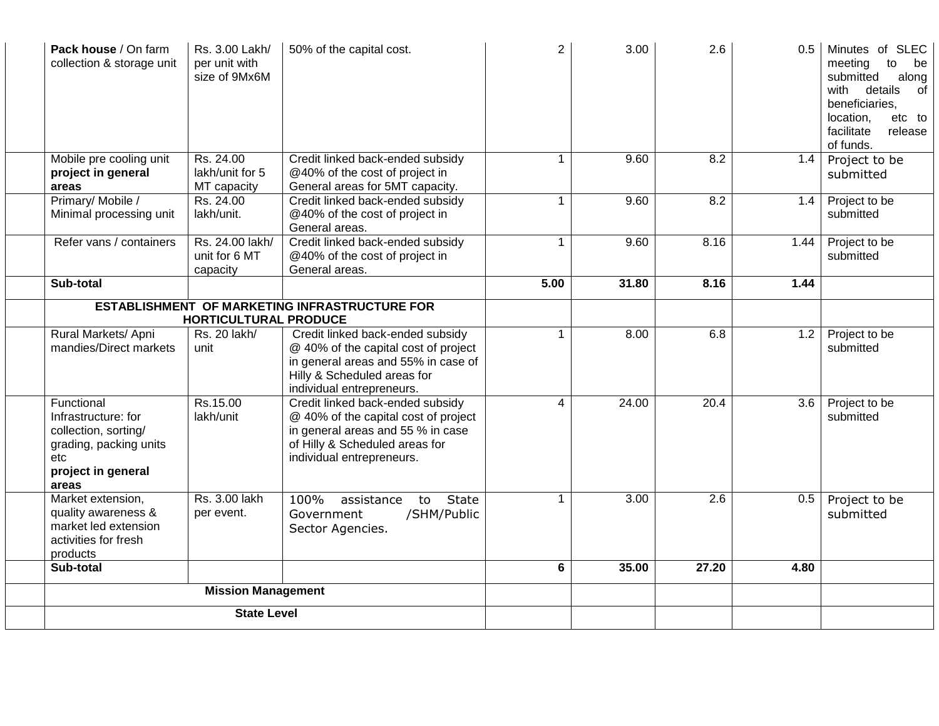| Pack house / On farm<br>collection & storage unit                                                                         | Rs. 3.00 Lakh/<br>per unit with<br>size of 9Mx6M | 50% of the capital cost.                                                                                                                                                     | $\overline{2}$ | 3.00  | 2.6              | 0.5  | Minutes of SLEC<br>meeting<br>to<br>be<br>submitted<br>along<br>with<br>details<br>of<br>beneficiaries,<br>location,<br>etc to<br>facilitate<br>release<br>of funds. |
|---------------------------------------------------------------------------------------------------------------------------|--------------------------------------------------|------------------------------------------------------------------------------------------------------------------------------------------------------------------------------|----------------|-------|------------------|------|----------------------------------------------------------------------------------------------------------------------------------------------------------------------|
| Mobile pre cooling unit                                                                                                   | Rs. 24.00                                        | Credit linked back-ended subsidy                                                                                                                                             |                | 9.60  | 8.2              | 1.4  | Project to be                                                                                                                                                        |
| project in general                                                                                                        | lakh/unit for 5                                  | @40% of the cost of project in                                                                                                                                               |                |       |                  |      | submitted                                                                                                                                                            |
| areas                                                                                                                     | MT capacity                                      | General areas for 5MT capacity.                                                                                                                                              |                |       |                  |      |                                                                                                                                                                      |
| Primary/Mobile /<br>Minimal processing unit                                                                               | Rs. 24.00<br>lakh/unit.                          | Credit linked back-ended subsidy<br>@40% of the cost of project in<br>General areas.                                                                                         | $\mathbf{1}$   | 9.60  | 8.2              | 1.4  | Project to be<br>submitted                                                                                                                                           |
| Refer vans / containers                                                                                                   | Rs. 24.00 lakh/<br>unit for 6 MT<br>capacity     | Credit linked back-ended subsidy<br>@40% of the cost of project in<br>General areas.                                                                                         | $\mathbf{1}$   | 9.60  | 8.16             | 1.44 | Project to be<br>submitted                                                                                                                                           |
| Sub-total                                                                                                                 |                                                  |                                                                                                                                                                              | 5.00           | 31.80 | 8.16             | 1.44 |                                                                                                                                                                      |
|                                                                                                                           |                                                  | <b>ESTABLISHMENT OF MARKETING INFRASTRUCTURE FOR</b>                                                                                                                         |                |       |                  |      |                                                                                                                                                                      |
|                                                                                                                           | <b>HORTICULTURAL PRODUCE</b>                     |                                                                                                                                                                              |                |       |                  |      |                                                                                                                                                                      |
| Rural Markets/ Apni<br>mandies/Direct markets                                                                             | Rs. 20 lakh/<br>unit                             | Credit linked back-ended subsidy<br>@ 40% of the capital cost of project<br>in general areas and 55% in case of<br>Hilly & Scheduled areas for<br>individual entrepreneurs.  | $\mathbf{1}$   | 8.00  | 6.8              | 1.2  | Project to be<br>submitted                                                                                                                                           |
| Functional<br>Infrastructure: for<br>collection, sorting/<br>grading, packing units<br>etc<br>project in general<br>areas | Rs.15.00<br>lakh/unit                            | Credit linked back-ended subsidy<br>@ 40% of the capital cost of project<br>in general areas and 55 % in case<br>of Hilly & Scheduled areas for<br>individual entrepreneurs. | 4              | 24.00 | 20.4             | 3.6  | Project to be<br>submitted                                                                                                                                           |
| Market extension,<br>quality awareness &<br>market led extension<br>activities for fresh<br>products                      | Rs. 3.00 lakh<br>per event.                      | 100%<br>State<br>assistance<br>to<br>Government<br>/SHM/Public<br>Sector Agencies.                                                                                           | $\mathbf{1}$   | 3.00  | $\overline{2.6}$ | 0.5  | Project to be<br>submitted                                                                                                                                           |
| Sub-total                                                                                                                 |                                                  |                                                                                                                                                                              | $\bf 6$        | 35.00 | 27.20            | 4.80 |                                                                                                                                                                      |
|                                                                                                                           | <b>Mission Management</b>                        |                                                                                                                                                                              |                |       |                  |      |                                                                                                                                                                      |
|                                                                                                                           | <b>State Level</b>                               |                                                                                                                                                                              |                |       |                  |      |                                                                                                                                                                      |
|                                                                                                                           |                                                  |                                                                                                                                                                              |                |       |                  |      |                                                                                                                                                                      |